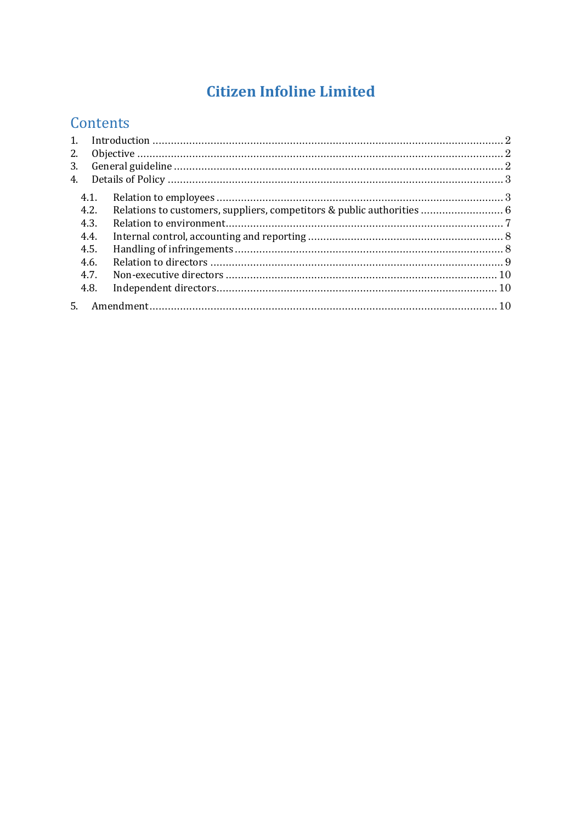# **Citizen Infoline Limited**

# Contents

| $\mathbf{1}$ . |      |  |  |
|----------------|------|--|--|
| 2.             |      |  |  |
| 3.             |      |  |  |
| 4 <sub>1</sub> |      |  |  |
|                | 4.1. |  |  |
|                | 4.2. |  |  |
|                | 4.3. |  |  |
|                | 4.4. |  |  |
|                | 4.5. |  |  |
|                | 4.6. |  |  |
|                | 4.7. |  |  |
|                | 4.8. |  |  |
| .5.            |      |  |  |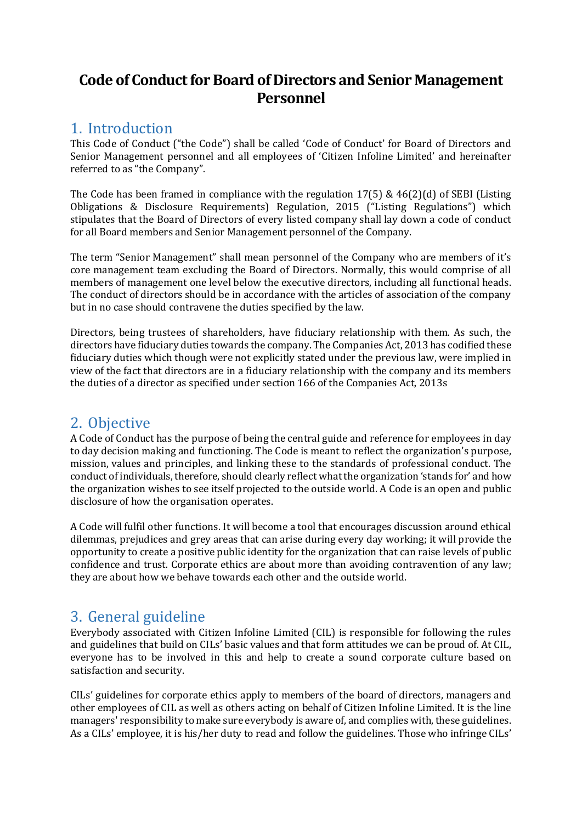## **Code of Conduct for Board of Directors and Senior Management Personnel**

# <span id="page-1-0"></span>1. Introduction

This Code of Conduct ("the Code") shall be called 'Code of Conduct' for Board of Directors and Senior Management personnel and all employees of 'Citizen Infoline Limited' and hereinafter referred to as "the Company".

The Code has been framed in compliance with the regulation  $17(5)$  &  $46(2)(d)$  of SEBI (Listing Obligations & Disclosure Requirements) Regulation, 2015 ("Listing Regulations") which stipulates that the Board of Directors of every listed company shall lay down a code of conduct for all Board members and Senior Management personnel of the Company.

The term "Senior Management" shall mean personnel of the Company who are members of it's core management team excluding the Board of Directors. Normally, this would comprise of all members of management one level below the executive directors, including all functional heads. The conduct of directors should be in accordance with the articles of association of the company but in no case should contravene the duties specified by the law.

Directors, being trustees of shareholders, have fiduciary relationship with them. As such, the directors have fiduciary duties towards the company. The Companies Act, 2013 has codified these fiduciary duties which though were not explicitly stated under the previous law, were implied in view of the fact that directors are in a fiduciary relationship with the company and its members the duties of a director as specified under section 166 of the Companies Act, 2013s

## <span id="page-1-1"></span>2. Objective

A Code of Conduct has the purpose of being the central guide and reference for employees in day to day decision making and functioning. The Code is meant to reflect the organization's purpose, mission, values and principles, and linking these to the standards of professional conduct. The conduct of individuals, therefore, should clearly reflect what the organization 'stands for' and how the organization wishes to see itself projected to the outside world. A Code is an open and public disclosure of how the organisation operates.

A Code will fulfil other functions. It will become a tool that encourages discussion around ethical dilemmas, prejudices and grey areas that can arise during every day working; it will provide the opportunity to create a positive public identity for the organization that can raise levels of public confidence and trust. Corporate ethics are about more than avoiding contravention of any law; they are about how we behave towards each other and the outside world.

# <span id="page-1-2"></span>3. General guideline

Everybody associated with Citizen Infoline Limited (CIL) is responsible for following the rules and guidelines that build on CILs' basic values and that form attitudes we can be proud of. At CIL, everyone has to be involved in this and help to create a sound corporate culture based on satisfaction and security.

CILs' guidelines for corporate ethics apply to members of the board of directors, managers and other employees of CIL as well as others acting on behalf of Citizen Infoline Limited. It is the line managers' responsibility to make sure everybody is aware of, and complies with, these guidelines. As a CILs' employee, it is his/her duty to read and follow the guidelines. Those who infringe CILs'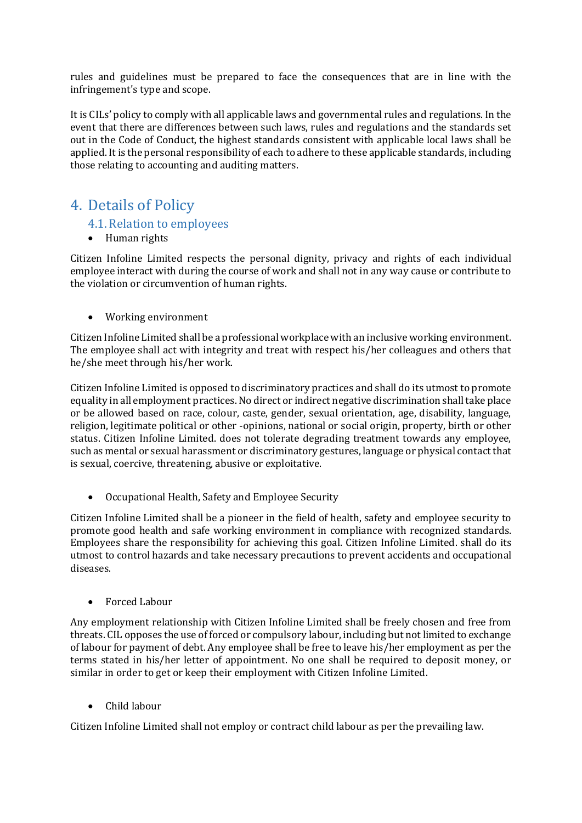rules and guidelines must be prepared to face the consequences that are in line with the infringement's type and scope.

It is CILs' policy to comply with all applicable laws and governmental rules and regulations. In the event that there are differences between such laws, rules and regulations and the standards set out in the Code of Conduct, the highest standards consistent with applicable local laws shall be applied. It is the personal responsibility of each to adhere to these applicable standards, including those relating to accounting and auditing matters.

### <span id="page-2-1"></span><span id="page-2-0"></span>4. Details of Policy

#### 4.1.Relation to employees

• Human rights

Citizen Infoline Limited respects the personal dignity, privacy and rights of each individual employee interact with during the course of work and shall not in any way cause or contribute to the violation or circumvention of human rights.

• Working environment

Citizen Infoline Limited shall be a professional workplace with an inclusive working environment. The employee shall act with integrity and treat with respect his/her colleagues and others that he/she meet through his/her work.

Citizen Infoline Limited is opposed to discriminatory practices and shall do its utmost to promote equality in all employment practices. No direct or indirect negative discrimination shall take place or be allowed based on race, colour, caste, gender, sexual orientation, age, disability, language, religion, legitimate political or other -opinions, national or social origin, property, birth or other status. Citizen Infoline Limited. does not tolerate degrading treatment towards any employee, such as mental or sexual harassment or discriminatory gestures, language or physical contact that is sexual, coercive, threatening, abusive or exploitative.

• Occupational Health, Safety and Employee Security

Citizen Infoline Limited shall be a pioneer in the field of health, safety and employee security to promote good health and safe working environment in compliance with recognized standards. Employees share the responsibility for achieving this goal. Citizen Infoline Limited. shall do its utmost to control hazards and take necessary precautions to prevent accidents and occupational diseases.

• Forced Labour

Any employment relationship with Citizen Infoline Limited shall be freely chosen and free from threats. CIL opposes the use of forced or compulsory labour, including but not limited to exchange of labour for payment of debt. Any employee shall be free to leave his/her employment as per the terms stated in his/her letter of appointment. No one shall be required to deposit money, or similar in order to get or keep their employment with Citizen Infoline Limited.

• Child labour

Citizen Infoline Limited shall not employ or contract child labour as per the prevailing law.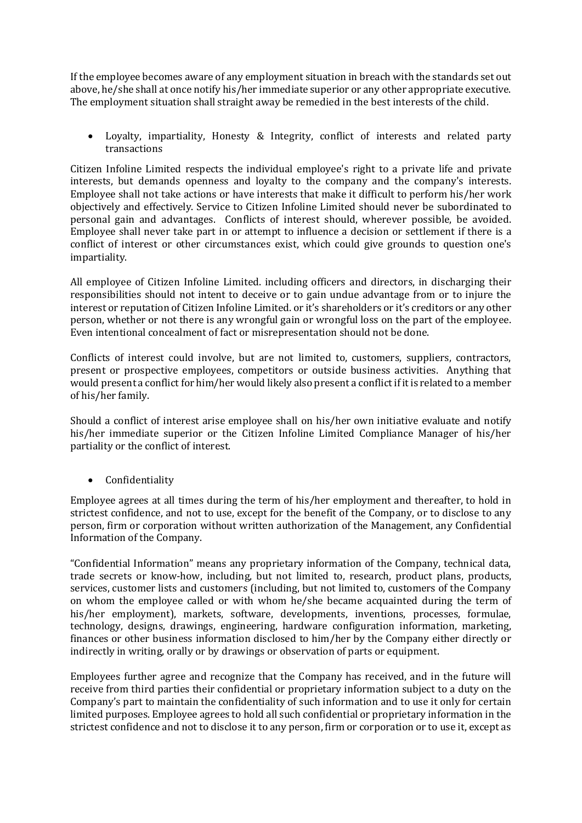If the employee becomes aware of any employment situation in breach with the standards set out above, he/she shall at once notify his/her immediate superior or any other appropriate executive. The employment situation shall straight away be remedied in the best interests of the child.

• Loyalty, impartiality, Honesty & Integrity, conflict of interests and related party transactions

Citizen Infoline Limited respects the individual employee's right to a private life and private interests, but demands openness and loyalty to the company and the company's interests. Employee shall not take actions or have interests that make it difficult to perform his/her work objectively and effectively. Service to Citizen Infoline Limited should never be subordinated to personal gain and advantages. Conflicts of interest should, wherever possible, be avoided. Employee shall never take part in or attempt to influence a decision or settlement if there is a conflict of interest or other circumstances exist, which could give grounds to question one's impartiality.

All employee of Citizen Infoline Limited. including officers and directors, in discharging their responsibilities should not intent to deceive or to gain undue advantage from or to injure the interest or reputation of Citizen Infoline Limited. or it's shareholders or it's creditors or any other person, whether or not there is any wrongful gain or wrongful loss on the part of the employee. Even intentional concealment of fact or misrepresentation should not be done.

Conflicts of interest could involve, but are not limited to, customers, suppliers, contractors, present or prospective employees, competitors or outside business activities. Anything that would present a conflict for him/her would likely also present a conflict if it is related to a member of his/her family.

Should a conflict of interest arise employee shall on his/her own initiative evaluate and notify his/her immediate superior or the Citizen Infoline Limited Compliance Manager of his/her partiality or the conflict of interest.

• Confidentiality

Employee agrees at all times during the term of his/her employment and thereafter, to hold in strictest confidence, and not to use, except for the benefit of the Company, or to disclose to any person, firm or corporation without written authorization of the Management, any Confidential Information of the Company.

"Confidential Information" means any proprietary information of the Company, technical data, trade secrets or know-how, including, but not limited to, research, product plans, products, services, customer lists and customers (including, but not limited to, customers of the Company on whom the employee called or with whom he/she became acquainted during the term of his/her employment), markets, software, developments, inventions, processes, formulae, technology, designs, drawings, engineering, hardware configuration information, marketing, finances or other business information disclosed to him/her by the Company either directly or indirectly in writing, orally or by drawings or observation of parts or equipment.

Employees further agree and recognize that the Company has received, and in the future will receive from third parties their confidential or proprietary information subject to a duty on the Company's part to maintain the confidentiality of such information and to use it only for certain limited purposes. Employee agrees to hold all such confidential or proprietary information in the strictest confidence and not to disclose it to any person, firm or corporation or to use it, except as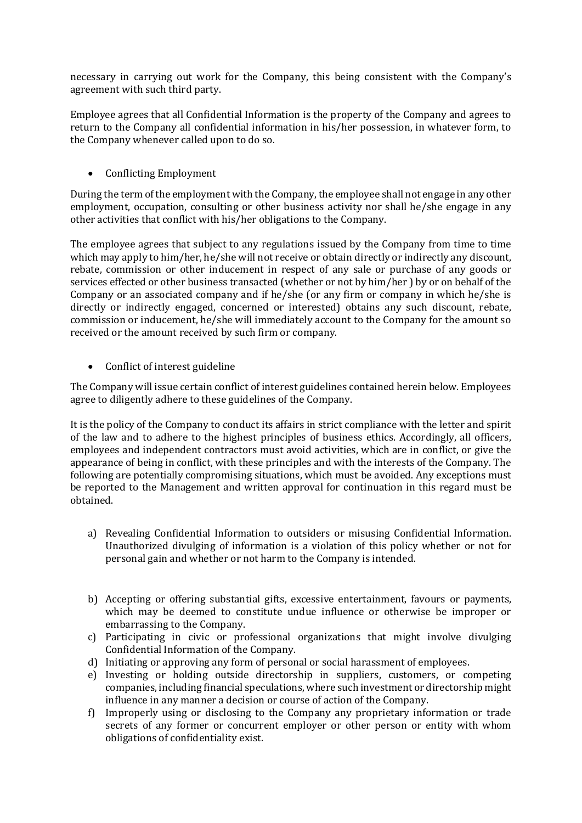necessary in carrying out work for the Company, this being consistent with the Company's agreement with such third party.

Employee agrees that all Confidential Information is the property of the Company and agrees to return to the Company all confidential information in his/her possession, in whatever form, to the Company whenever called upon to do so.

• Conflicting Employment

During the term of the employment with the Company, the employee shall not engage in any other employment, occupation, consulting or other business activity nor shall he/she engage in any other activities that conflict with his/her obligations to the Company.

The employee agrees that subject to any regulations issued by the Company from time to time which may apply to him/her, he/she will not receive or obtain directly or indirectly any discount, rebate, commission or other inducement in respect of any sale or purchase of any goods or services effected or other business transacted (whether or not by him/her ) by or on behalf of the Company or an associated company and if he/she (or any firm or company in which he/she is directly or indirectly engaged, concerned or interested) obtains any such discount, rebate, commission or inducement, he/she will immediately account to the Company for the amount so received or the amount received by such firm or company.

• Conflict of interest guideline

The Company will issue certain conflict of interest guidelines contained herein below. Employees agree to diligently adhere to these guidelines of the Company.

It is the policy of the Company to conduct its affairs in strict compliance with the letter and spirit of the law and to adhere to the highest principles of business ethics. Accordingly, all officers, employees and independent contractors must avoid activities, which are in conflict, or give the appearance of being in conflict, with these principles and with the interests of the Company. The following are potentially compromising situations, which must be avoided. Any exceptions must be reported to the Management and written approval for continuation in this regard must be obtained.

- a) Revealing Confidential Information to outsiders or misusing Confidential Information. Unauthorized divulging of information is a violation of this policy whether or not for personal gain and whether or not harm to the Company is intended.
- b) Accepting or offering substantial gifts, excessive entertainment, favours or payments, which may be deemed to constitute undue influence or otherwise be improper or embarrassing to the Company.
- c) Participating in civic or professional organizations that might involve divulging Confidential Information of the Company.
- d) Initiating or approving any form of personal or social harassment of employees.
- e) Investing or holding outside directorship in suppliers, customers, or competing companies, including financial speculations, where such investment or directorship might influence in any manner a decision or course of action of the Company.
- f) Improperly using or disclosing to the Company any proprietary information or trade secrets of any former or concurrent employer or other person or entity with whom obligations of confidentiality exist.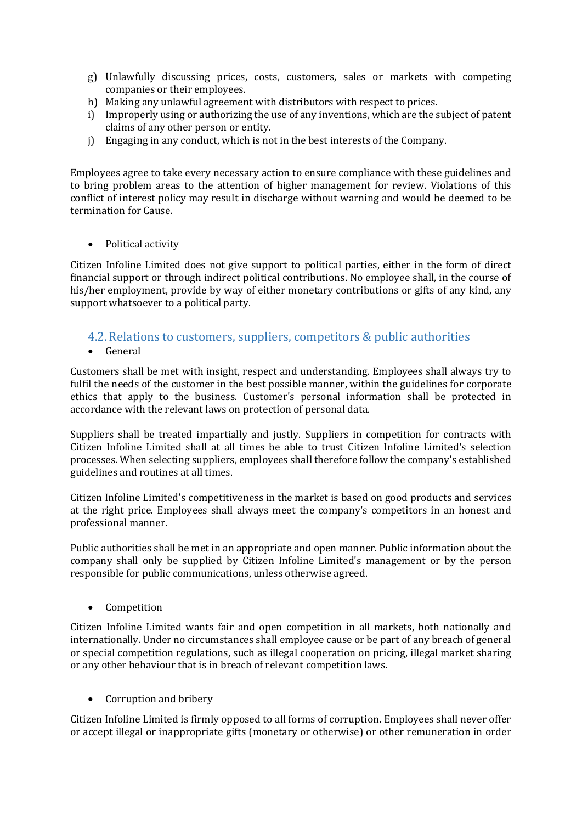- g) Unlawfully discussing prices, costs, customers, sales or markets with competing companies or their employees.
- h) Making any unlawful agreement with distributors with respect to prices.
- i) Improperly using or authorizing the use of any inventions, which are the subject of patent claims of any other person or entity.
- j) Engaging in any conduct, which is not in the best interests of the Company.

Employees agree to take every necessary action to ensure compliance with these guidelines and to bring problem areas to the attention of higher management for review. Violations of this conflict of interest policy may result in discharge without warning and would be deemed to be termination for Cause.

• Political activity

Citizen Infoline Limited does not give support to political parties, either in the form of direct financial support or through indirect political contributions. No employee shall, in the course of his/her employment, provide by way of either monetary contributions or gifts of any kind, any support whatsoever to a political party.

#### <span id="page-5-0"></span>4.2.Relations to customers, suppliers, competitors & public authorities

• General

Customers shall be met with insight, respect and understanding. Employees shall always try to fulfil the needs of the customer in the best possible manner, within the guidelines for corporate ethics that apply to the business. Customer's personal information shall be protected in accordance with the relevant laws on protection of personal data.

Suppliers shall be treated impartially and justly. Suppliers in competition for contracts with Citizen Infoline Limited shall at all times be able to trust Citizen Infoline Limited's selection processes. When selecting suppliers, employees shall therefore follow the company's established guidelines and routines at all times.

Citizen Infoline Limited's competitiveness in the market is based on good products and services at the right price. Employees shall always meet the company's competitors in an honest and professional manner.

Public authorities shall be met in an appropriate and open manner. Public information about the company shall only be supplied by Citizen Infoline Limited's management or by the person responsible for public communications, unless otherwise agreed.

• Competition

Citizen Infoline Limited wants fair and open competition in all markets, both nationally and internationally. Under no circumstances shall employee cause or be part of any breach of general or special competition regulations, such as illegal cooperation on pricing, illegal market sharing or any other behaviour that is in breach of relevant competition laws.

• Corruption and bribery

Citizen Infoline Limited is firmly opposed to all forms of corruption. Employees shall never offer or accept illegal or inappropriate gifts (monetary or otherwise) or other remuneration in order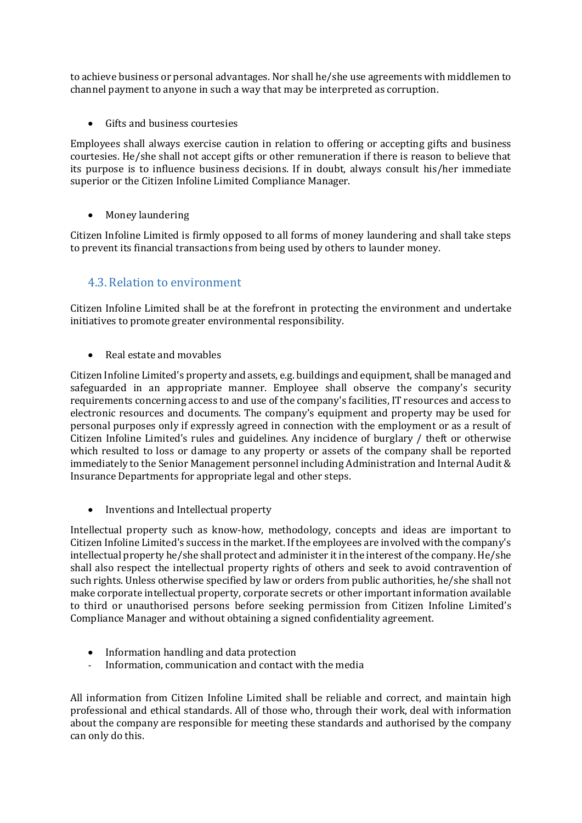to achieve business or personal advantages. Nor shall he/she use agreements with middlemen to channel payment to anyone in such a way that may be interpreted as corruption.

Gifts and business courtesies

Employees shall always exercise caution in relation to offering or accepting gifts and business courtesies. He/she shall not accept gifts or other remuneration if there is reason to believe that its purpose is to influence business decisions. If in doubt, always consult his/her immediate superior or the Citizen Infoline Limited Compliance Manager.

• Money laundering

Citizen Infoline Limited is firmly opposed to all forms of money laundering and shall take steps to prevent its financial transactions from being used by others to launder money.

### <span id="page-6-0"></span>4.3.Relation to environment

Citizen Infoline Limited shall be at the forefront in protecting the environment and undertake initiatives to promote greater environmental responsibility.

• Real estate and movables

Citizen Infoline Limited's property and assets, e.g. buildings and equipment, shall be managed and safeguarded in an appropriate manner. Employee shall observe the company's security requirements concerning access to and use of the company's facilities, IT resources and access to electronic resources and documents. The company's equipment and property may be used for personal purposes only if expressly agreed in connection with the employment or as a result of Citizen Infoline Limited's rules and guidelines. Any incidence of burglary / theft or otherwise which resulted to loss or damage to any property or assets of the company shall be reported immediately to the Senior Management personnel including Administration and Internal Audit & Insurance Departments for appropriate legal and other steps.

• Inventions and Intellectual property

Intellectual property such as know-how, methodology, concepts and ideas are important to Citizen Infoline Limited's success in the market. If the employees are involved with the company's intellectual property he/she shall protect and administer it in the interest of the company. He/she shall also respect the intellectual property rights of others and seek to avoid contravention of such rights. Unless otherwise specified by law or orders from public authorities, he/she shall not make corporate intellectual property, corporate secrets or other important information available to third or unauthorised persons before seeking permission from Citizen Infoline Limited's Compliance Manager and without obtaining a signed confidentiality agreement.

- Information handling and data protection<br>Finformation communication and contact v
- Information, communication and contact with the media

All information from Citizen Infoline Limited shall be reliable and correct, and maintain high professional and ethical standards. All of those who, through their work, deal with information about the company are responsible for meeting these standards and authorised by the company can only do this.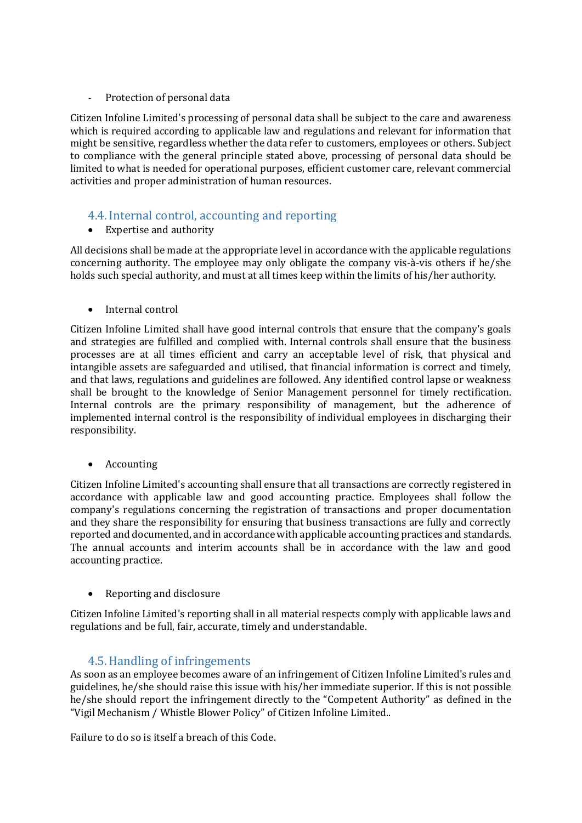Protection of personal data

Citizen Infoline Limited's processing of personal data shall be subject to the care and awareness which is required according to applicable law and regulations and relevant for information that might be sensitive, regardless whether the data refer to customers, employees or others. Subject to compliance with the general principle stated above, processing of personal data should be limited to what is needed for operational purposes, efficient customer care, relevant commercial activities and proper administration of human resources.

#### <span id="page-7-0"></span>4.4.Internal control, accounting and reporting

• Expertise and authority

All decisions shall be made at the appropriate level in accordance with the applicable regulations concerning authority. The employee may only obligate the company vis-à-vis others if he/she holds such special authority, and must at all times keep within the limits of his/her authority.

• Internal control

Citizen Infoline Limited shall have good internal controls that ensure that the company's goals and strategies are fulfilled and complied with. Internal controls shall ensure that the business processes are at all times efficient and carry an acceptable level of risk, that physical and intangible assets are safeguarded and utilised, that financial information is correct and timely, and that laws, regulations and guidelines are followed. Any identified control lapse or weakness shall be brought to the knowledge of Senior Management personnel for timely rectification. Internal controls are the primary responsibility of management, but the adherence of implemented internal control is the responsibility of individual employees in discharging their responsibility.

• Accounting

Citizen Infoline Limited's accounting shall ensure that all transactions are correctly registered in accordance with applicable law and good accounting practice. Employees shall follow the company's regulations concerning the registration of transactions and proper documentation and they share the responsibility for ensuring that business transactions are fully and correctly reported and documented, and in accordance with applicable accounting practices and standards. The annual accounts and interim accounts shall be in accordance with the law and good accounting practice.

• Reporting and disclosure

Citizen Infoline Limited's reporting shall in all material respects comply with applicable laws and regulations and be full, fair, accurate, timely and understandable.

#### 4.5.Handling of infringements

<span id="page-7-1"></span>As soon as an employee becomes aware of an infringement of Citizen Infoline Limited's rules and guidelines, he/she should raise this issue with his/her immediate superior. If this is not possible he/she should report the infringement directly to the "Competent Authority" as defined in the "Vigil Mechanism / Whistle Blower Policy" of Citizen Infoline Limited..

Failure to do so is itself a breach of this Code.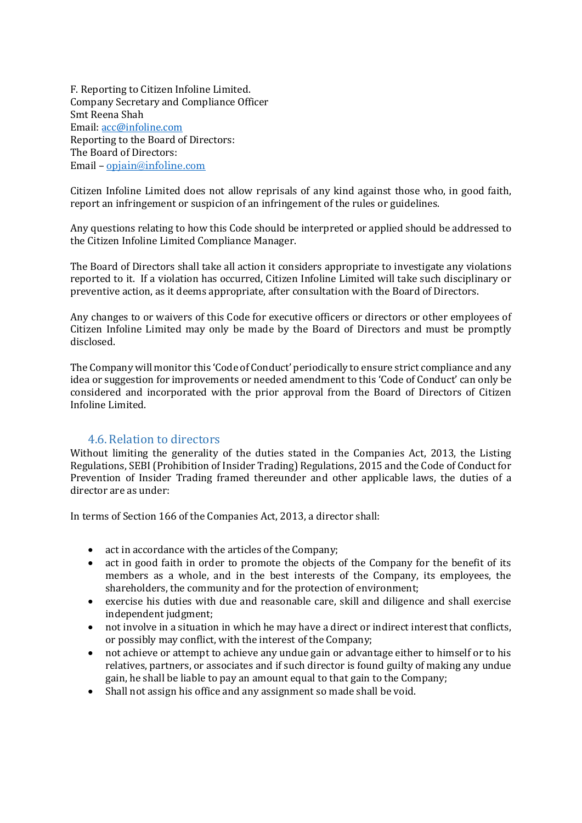F. Reporting to Citizen Infoline Limited. Company Secretary and Compliance Officer Smt Reena Shah Email: [acc@infoline.com](mailto:acc@infoline.com)  Reporting to the Board of Directors: The Board of Directors: Email – [opjain@infoline.com](mailto:opjain@infoline.com)

Citizen Infoline Limited does not allow reprisals of any kind against those who, in good faith, report an infringement or suspicion of an infringement of the rules or guidelines.

Any questions relating to how this Code should be interpreted or applied should be addressed to the Citizen Infoline Limited Compliance Manager.

The Board of Directors shall take all action it considers appropriate to investigate any violations reported to it. If a violation has occurred, Citizen Infoline Limited will take such disciplinary or preventive action, as it deems appropriate, after consultation with the Board of Directors.

Any changes to or waivers of this Code for executive officers or directors or other employees of Citizen Infoline Limited may only be made by the Board of Directors and must be promptly disclosed.

The Company will monitor this 'Code of Conduct' periodically to ensure strict compliance and any idea or suggestion for improvements or needed amendment to this 'Code of Conduct' can only be considered and incorporated with the prior approval from the Board of Directors of Citizen Infoline Limited.

#### 4.6.Relation to directors

<span id="page-8-0"></span>Without limiting the generality of the duties stated in the Companies Act, 2013, the Listing Regulations, SEBI (Prohibition of Insider Trading) Regulations, 2015 and the Code of Conduct for Prevention of Insider Trading framed thereunder and other applicable laws, the duties of a director are as under:

In terms of Section 166 of the Companies Act, 2013, a director shall:

- act in accordance with the articles of the Company;<br>• act in good faith in order to promote the objects of
- act in good faith in order to promote the objects of the Company for the benefit of its members as a whole, and in the best interests of the Company, its employees, the shareholders, the community and for the protection of environment;
- exercise his duties with due and reasonable care, skill and diligence and shall exercise independent judgment;
- not involve in a situation in which he may have a direct or indirect interest that conflicts, or possibly may conflict, with the interest of the Company;
- not achieve or attempt to achieve any undue gain or advantage either to himself or to his relatives, partners, or associates and if such director is found guilty of making any undue gain, he shall be liable to pay an amount equal to that gain to the Company;
- Shall not assign his office and any assignment so made shall be void.